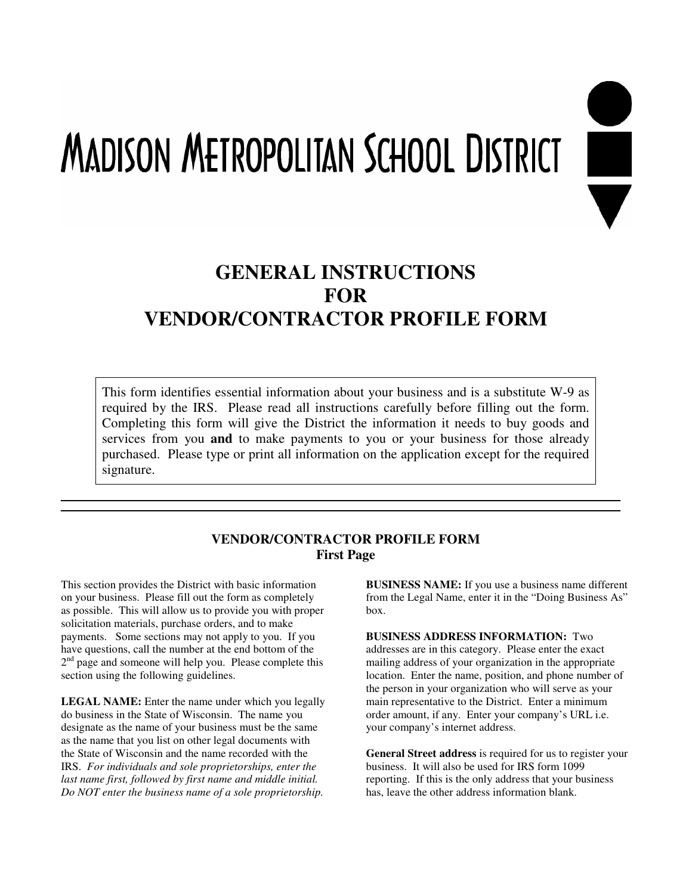# **MADISON METROPOLITAN SCHOOL DISTRICT**

## **VENDOR/CONTRACTOR PROFILE FORM GENERAL INSTRUCTIONS FOR**

 This form identifies essential information about your business and is a substitute W-9 as required by the IRS. Please read all instructions carefully before filling out the form. Completing this form will give the District the information it needs to buy goods and services from you **and** to make payments to you or your business for those already purchased. Please type or print all information on the application except for the required signature.

#### **VENDOR/CONTRACTOR PROFILE FORM First Page**

 This section provides the District with basic information on your business. Please fill out the form as completely as possible. This will allow us to provide you with proper solicitation materials, purchase orders, and to make payments. Some sections may not apply to you. If you have questions, call the number at the end bottom of the  $2<sup>nd</sup>$  page and someone will help you. Please complete this section using the following guidelines.

 **LEGAL NAME:** Enter the name under which you legally do business in the State of Wisconsin. The name you designate as the name of your business must be the same as the name that you list on other legal documents with the State of Wisconsin and the name recorded with the IRS. *For individuals and sole proprietorships, enter the last name first, followed by first name and middle initial. Do NOT enter the business name of a sole proprietorship.* 

 **BUSINESS NAME:** If you use a business name different from the Legal Name, enter it in the "Doing Business As" box.

 **BUSINESS ADDRESS INFORMATION:** Two addresses are in this category. Please enter the exact mailing address of your organization in the appropriate location. Enter the name, position, and phone number of the person in your organization who will serve as your main representative to the District. Enter a minimum order amount, if any. Enter your company's URL i.e. your company's internet address.

General Street address is required for us to register your business. It will also be used for IRS form 1099 reporting. If this is the only address that your business has, leave the other address information blank.